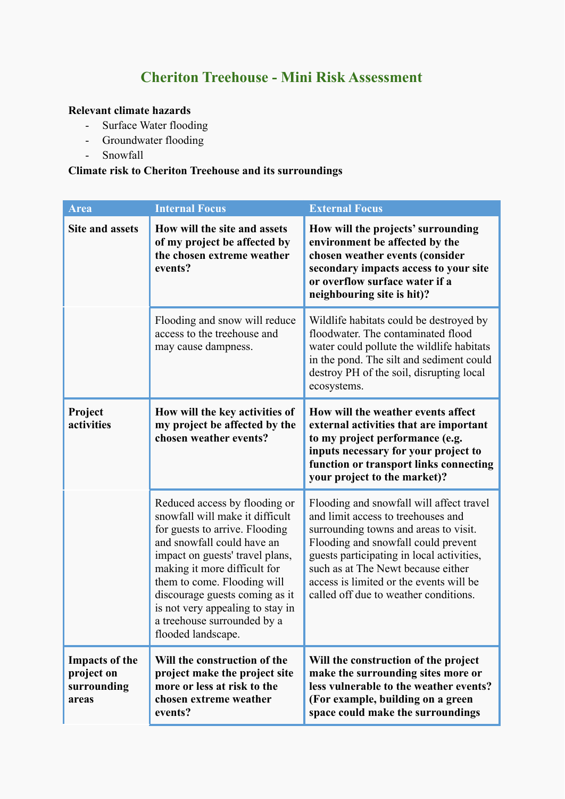## **Cheriton Treehouse - Mini Risk Assessment**

## **Relevant climate hazards**

- Surface Water flooding
- Groundwater flooding
- Snowfall

## **Climate risk to Cheriton Treehouse and its surroundings**

| Area                                                        | <b>Internal Focus</b>                                                                                                                                                                                                                                                                                                                                         | <b>External Focus</b>                                                                                                                                                                                                                                                                                                                 |
|-------------------------------------------------------------|---------------------------------------------------------------------------------------------------------------------------------------------------------------------------------------------------------------------------------------------------------------------------------------------------------------------------------------------------------------|---------------------------------------------------------------------------------------------------------------------------------------------------------------------------------------------------------------------------------------------------------------------------------------------------------------------------------------|
| <b>Site and assets</b>                                      | How will the site and assets<br>of my project be affected by<br>the chosen extreme weather<br>events?                                                                                                                                                                                                                                                         | How will the projects' surrounding<br>environment be affected by the<br>chosen weather events (consider<br>secondary impacts access to your site<br>or overflow surface water if a<br>neighbouring site is hit)?                                                                                                                      |
|                                                             | Flooding and snow will reduce<br>access to the treehouse and<br>may cause dampness.                                                                                                                                                                                                                                                                           | Wildlife habitats could be destroyed by<br>floodwater. The contaminated flood<br>water could pollute the wildlife habitats<br>in the pond. The silt and sediment could<br>destroy PH of the soil, disrupting local<br>ecosystems.                                                                                                     |
| Project<br>activities                                       | How will the key activities of<br>my project be affected by the<br>chosen weather events?                                                                                                                                                                                                                                                                     | How will the weather events affect<br>external activities that are important<br>to my project performance (e.g.<br>inputs necessary for your project to<br>function or transport links connecting<br>your project to the market)?                                                                                                     |
|                                                             | Reduced access by flooding or<br>snowfall will make it difficult<br>for guests to arrive. Flooding<br>and snowfall could have an<br>impact on guests' travel plans,<br>making it more difficult for<br>them to come. Flooding will<br>discourage guests coming as it<br>is not very appealing to stay in<br>a treehouse surrounded by a<br>flooded landscape. | Flooding and snowfall will affect travel<br>and limit access to treehouses and<br>surrounding towns and areas to visit.<br>Flooding and snowfall could prevent<br>guests participating in local activities,<br>such as at The Newt because either<br>access is limited or the events will be<br>called off due to weather conditions. |
| <b>Impacts of the</b><br>project on<br>surrounding<br>areas | Will the construction of the<br>project make the project site<br>more or less at risk to the<br>chosen extreme weather<br>events?                                                                                                                                                                                                                             | Will the construction of the project<br>make the surrounding sites more or<br>less vulnerable to the weather events?<br>(For example, building on a green<br>space could make the surroundings                                                                                                                                        |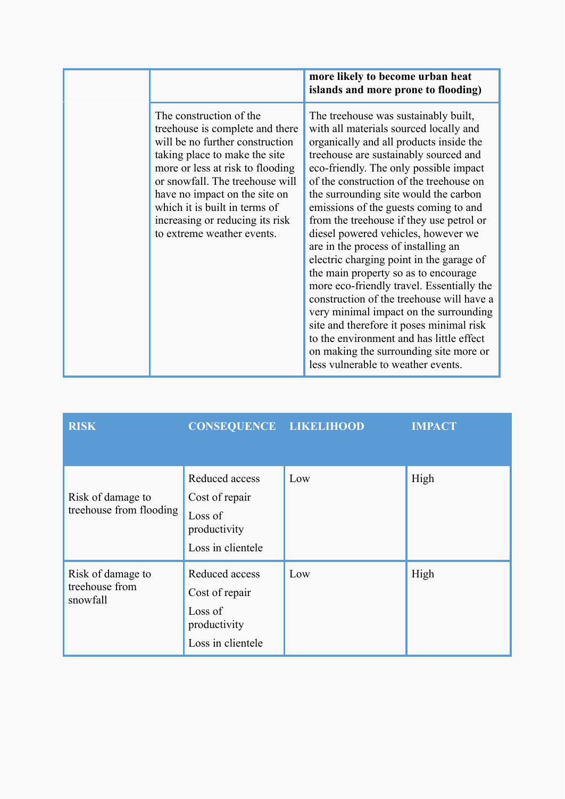|                                                                                                                                                                                                                                                                                                                                           | more likely to become urban heat<br>islands and more prone to flooding)                                                                                                                                                                                                                                                                                                                                                                                                                                                                                                                                                                                                                                                                                                                                                                                             |
|-------------------------------------------------------------------------------------------------------------------------------------------------------------------------------------------------------------------------------------------------------------------------------------------------------------------------------------------|---------------------------------------------------------------------------------------------------------------------------------------------------------------------------------------------------------------------------------------------------------------------------------------------------------------------------------------------------------------------------------------------------------------------------------------------------------------------------------------------------------------------------------------------------------------------------------------------------------------------------------------------------------------------------------------------------------------------------------------------------------------------------------------------------------------------------------------------------------------------|
| The construction of the<br>tree house is complete and there<br>will be no further construction<br>taking place to make the site<br>more or less at risk to flooding<br>or snowfall. The treehouse will<br>have no impact on the site on<br>which it is built in terms of<br>increasing or reducing its risk<br>to extreme weather events. | The treehouse was sustainably built,<br>with all materials sourced locally and<br>organically and all products inside the<br>treehouse are sustainably sourced and<br>eco-friendly. The only possible impact<br>of the construction of the treehouse on<br>the surrounding site would the carbon<br>emissions of the guests coming to and<br>from the treehouse if they use petrol or<br>diesel powered vehicles, however we<br>are in the process of installing an<br>electric charging point in the garage of<br>the main property so as to encourage<br>more eco-friendly travel. Essentially the<br>construction of the treehouse will have a<br>very minimal impact on the surrounding<br>site and therefore it poses minimal risk<br>to the environment and has little effect<br>on making the surrounding site more or<br>less vulnerable to weather events. |

| <b>RISK</b>                                     | <b>CONSEQUENCE LIKELIHOOD</b>                                                    |     | <b>IMPACT</b> |
|-------------------------------------------------|----------------------------------------------------------------------------------|-----|---------------|
| Risk of damage to<br>treehouse from flooding    | Reduced access<br>Cost of repair<br>Loss of<br>productivity<br>Loss in clientele | Low | High          |
| Risk of damage to<br>treehouse from<br>snowfall | Reduced access<br>Cost of repair<br>Loss of<br>productivity<br>Loss in clientele | Low | High          |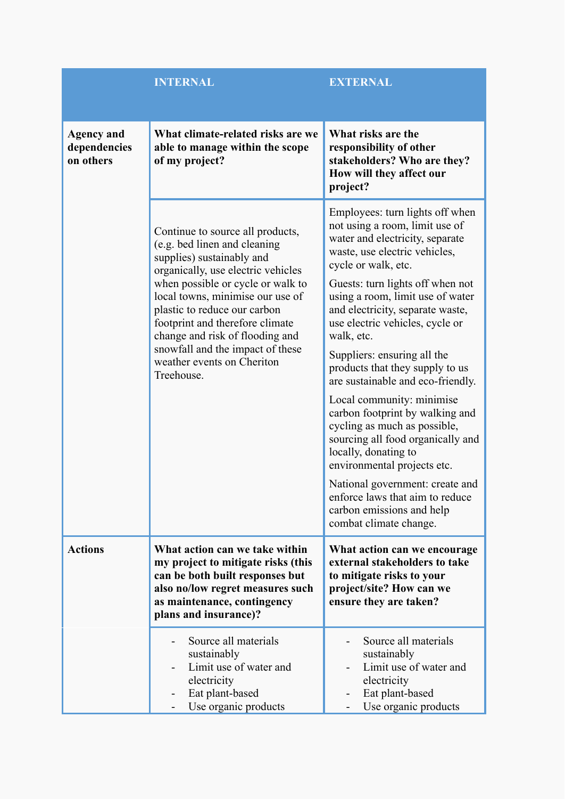|                                                | <b>INTERNAL</b>                                                                                                                                                                                                                                                                                                                                                                                    | <b>EXTERNAL</b>                                                                                                                                                                                                                                                                                                                                                                                                                                                                                                                                                                                                              |
|------------------------------------------------|----------------------------------------------------------------------------------------------------------------------------------------------------------------------------------------------------------------------------------------------------------------------------------------------------------------------------------------------------------------------------------------------------|------------------------------------------------------------------------------------------------------------------------------------------------------------------------------------------------------------------------------------------------------------------------------------------------------------------------------------------------------------------------------------------------------------------------------------------------------------------------------------------------------------------------------------------------------------------------------------------------------------------------------|
| <b>Agency and</b><br>dependencies<br>on others | What climate-related risks are we<br>able to manage within the scope<br>of my project?                                                                                                                                                                                                                                                                                                             | What risks are the<br>responsibility of other<br>stakeholders? Who are they?<br>How will they affect our<br>project?                                                                                                                                                                                                                                                                                                                                                                                                                                                                                                         |
|                                                | Continue to source all products,<br>(e.g. bed linen and cleaning<br>supplies) sustainably and<br>organically, use electric vehicles<br>when possible or cycle or walk to<br>local towns, minimise our use of<br>plastic to reduce our carbon<br>footprint and therefore climate<br>change and risk of flooding and<br>snowfall and the impact of these<br>weather events on Cheriton<br>Treehouse. | Employees: turn lights off when<br>not using a room, limit use of<br>water and electricity, separate<br>waste, use electric vehicles,<br>cycle or walk, etc.<br>Guests: turn lights off when not<br>using a room, limit use of water<br>and electricity, separate waste,<br>use electric vehicles, cycle or<br>walk, etc.<br>Suppliers: ensuring all the<br>products that they supply to us<br>are sustainable and eco-friendly.<br>Local community: minimise<br>carbon footprint by walking and<br>cycling as much as possible,<br>sourcing all food organically and<br>locally, donating to<br>environmental projects etc. |
|                                                |                                                                                                                                                                                                                                                                                                                                                                                                    | National government: create and<br>enforce laws that aim to reduce<br>carbon emissions and help<br>combat climate change.                                                                                                                                                                                                                                                                                                                                                                                                                                                                                                    |
| <b>Actions</b>                                 | What action can we take within<br>my project to mitigate risks (this<br>can be both built responses but<br>also no/low regret measures such<br>as maintenance, contingency<br>plans and insurance)?                                                                                                                                                                                                | What action can we encourage<br>external stakeholders to take<br>to mitigate risks to your<br>project/site? How can we<br>ensure they are taken?                                                                                                                                                                                                                                                                                                                                                                                                                                                                             |
|                                                | Source all materials<br>sustainably<br>Limit use of water and<br>electricity<br>Eat plant-based<br>Use organic products                                                                                                                                                                                                                                                                            | Source all materials<br>sustainably<br>Limit use of water and<br>electricity<br>Eat plant-based<br>Use organic products                                                                                                                                                                                                                                                                                                                                                                                                                                                                                                      |